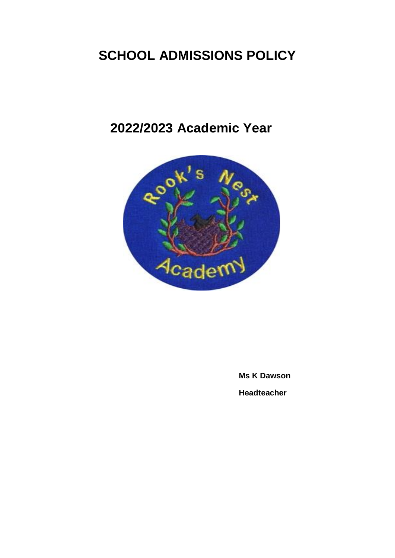# **SCHOOL ADMISSIONS POLICY**

# **2022/2023 Academic Year**



**Ms K Dawson Headteacher**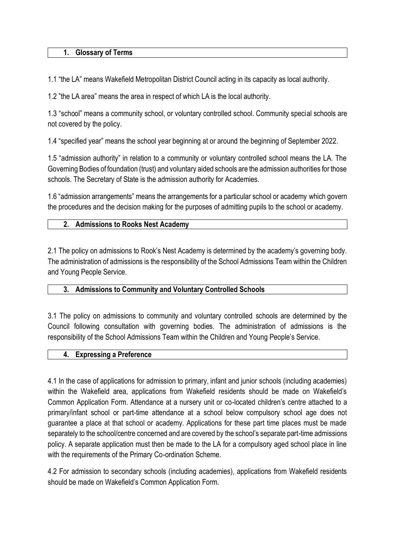#### **1. Glossary of Terms**

1.1 "the LA" means Wakefield Metropolitan District Council acting in its capacity as local authority.

1.2 "the LA area" means the area in respect of which LA is the local authority.

1.3 "school" means a community school, or voluntary controlled school. Community special schools are not covered by the policy.

1.4 "specified year" means the school year beginning at or around the beginning of September 2022.

1.5 "admission authority" in relation to a community or voluntary controlled school means the LA. The Governing Bodies of foundation (trust) and voluntary aided schools are the admission authorities for those schools. The Secretary of State is the admission authority for Academies.

1.6 "admission arrangements" means the arrangements for a particular school or academy which govern the procedures and the decision making for the purposes of admitting pupils to the school or academy.

#### **2. Admissions to Rooks Nest Academy**

2.1 The policy on admissions to Rook's Nest Academy is determined by the academy's governing body. The administration of admissions is the responsibility of the School Admissions Team within the Children and Young People Service.

#### **3. Admissions to Community and Voluntary Controlled Schools**

3.1 The policy on admissions to community and voluntary controlled schools are determined by the Council following consultation with governing bodies. The administration of admissions is the responsibility of the School Admissions Team within the Children and Young People's Service.

#### **4. Expressing a Preference**

4.1 In the case of applications for admission to primary, infant and junior schools (including academies) within the Wakefield area, applications from Wakefield residents should be made on Wakefield's Common Application Form. Attendance at a nursery unit or co-located children's centre attached to a primary/infant school or part-time attendance at a school below compulsory school age does not guarantee a place at that school or academy. Applications for these part time places must be made separately to the school/centre concerned and are covered by the school's separate part-time admissions policy. A separate application must then be made to the LA for a compulsory aged school place in line with the requirements of the Primary Co-ordination Scheme.

4.2 For admission to secondary schools (including academies), applications from Wakefield residents should be made on Wakefield's Common Application Form.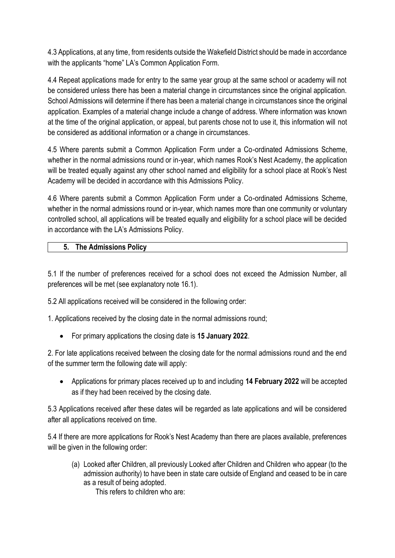4.3 Applications, at any time, from residents outside the Wakefield District should be made in accordance with the applicants "home" LA's Common Application Form.

4.4 Repeat applications made for entry to the same year group at the same school or academy will not be considered unless there has been a material change in circumstances since the original application. School Admissions will determine if there has been a material change in circumstances since the original application. Examples of a material change include a change of address. Where information was known at the time of the original application, or appeal, but parents chose not to use it, this information will not be considered as additional information or a change in circumstances.

4.5 Where parents submit a Common Application Form under a Co-ordinated Admissions Scheme, whether in the normal admissions round or in-year, which names Rook's Nest Academy, the application will be treated equally against any other school named and eligibility for a school place at Rook's Nest Academy will be decided in accordance with this Admissions Policy.

4.6 Where parents submit a Common Application Form under a Co-ordinated Admissions Scheme, whether in the normal admissions round or in-year, which names more than one community or voluntary controlled school, all applications will be treated equally and eligibility for a school place will be decided in accordance with the LA's Admissions Policy.

## **5. The Admissions Policy**

5.1 If the number of preferences received for a school does not exceed the Admission Number, all preferences will be met (see explanatory note 16.1).

5.2 All applications received will be considered in the following order:

1. Applications received by the closing date in the normal admissions round;

For primary applications the closing date is **15 January 2022**.

2. For late applications received between the closing date for the normal admissions round and the end of the summer term the following date will apply:

 Applications for primary places received up to and including **14 February 2022** will be accepted as if they had been received by the closing date.

5.3 Applications received after these dates will be regarded as late applications and will be considered after all applications received on time.

5.4 If there are more applications for Rook's Nest Academy than there are places available, preferences will be given in the following order:

(a) Looked after Children, all previously Looked after Children and Children who appear (to the admission authority) to have been in state care outside of England and ceased to be in care as a result of being adopted.

This refers to children who are: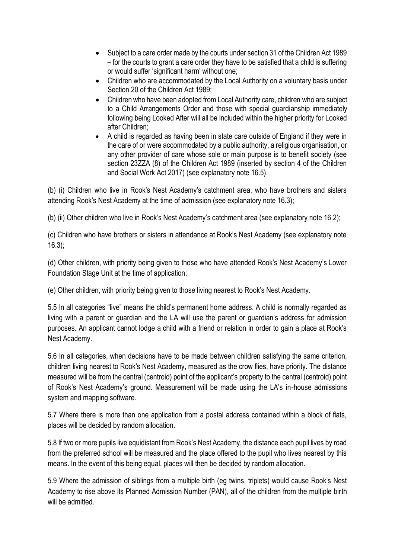- Subject to a care order made by the courts under section 31 of the Children Act 1989 – for the courts to grant a care order they have to be satisfied that a child is suffering or would suffer 'significant harm' without one;
- Children who are accommodated by the Local Authority on a voluntary basis under Section 20 of the Children Act 1989;
- Children who have been adopted from Local Authority care, children who are subject to a Child Arrangements Order and those with special guardianship immediately following being Looked After will all be included within the higher priority for Looked after Children;
- A child is regarded as having been in state care outside of England if they were in the care of or were accommodated by a public authority, a religious organisation, or any other provider of care whose sole or main purpose is to benefit society (see section 23ZZA (8) of the Children Act 1989 (inserted by section 4 of the Children and Social Work Act 2017) (see explanatory note 16.5).

(b) (i) Children who live in Rook's Nest Academy's catchment area, who have brothers and sisters attending Rook's Nest Academy at the time of admission (see explanatory note 16.3);

(b) (ii) Other children who live in Rook's Nest Academy's catchment area (see explanatory note 16.2);

(c) Children who have brothers or sisters in attendance at Rook's Nest Academy (see explanatory note 16.3);

(d) Other children, with priority being given to those who have attended Rook's Nest Academy's Lower Foundation Stage Unit at the time of application;

(e) Other children, with priority being given to those living nearest to Rook's Nest Academy.

5.5 In all categories "live" means the child's permanent home address. A child is normally regarded as living with a parent or guardian and the LA will use the parent or guardian's address for admission purposes. An applicant cannot lodge a child with a friend or relation in order to gain a place at Rook's Nest Academy.

5.6 In all categories, when decisions have to be made between children satisfying the same criterion, children living nearest to Rook's Nest Academy, measured as the crow flies, have priority. The distance measured will be from the central (centroid) point of the applicant's property to the central (centroid) point of Rook's Nest Academy's ground. Measurement will be made using the LA's in-house admissions system and mapping software.

5.7 Where there is more than one application from a postal address contained within a block of flats, places will be decided by random allocation.

5.8 If two or more pupils live equidistant from Rook's Nest Academy, the distance each pupil lives by road from the preferred school will be measured and the place offered to the pupil who lives nearest by this means. In the event of this being equal, places will then be decided by random allocation.

5.9 Where the admission of siblings from a multiple birth (eg twins, triplets) would cause Rook's Nest Academy to rise above its Planned Admission Number (PAN), all of the children from the multiple birth will be admitted.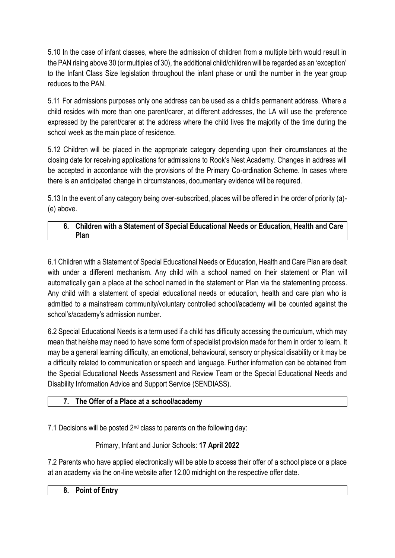5.10 In the case of infant classes, where the admission of children from a multiple birth would result in the PAN rising above 30 (or multiples of 30), the additional child/children will be regarded as an 'exception' to the Infant Class Size legislation throughout the infant phase or until the number in the year group reduces to the PAN.

5.11 For admissions purposes only one address can be used as a child's permanent address. Where a child resides with more than one parent/carer, at different addresses, the LA will use the preference expressed by the parent/carer at the address where the child lives the majority of the time during the school week as the main place of residence.

5.12 Children will be placed in the appropriate category depending upon their circumstances at the closing date for receiving applications for admissions to Rook's Nest Academy. Changes in address will be accepted in accordance with the provisions of the Primary Co-ordination Scheme. In cases where there is an anticipated change in circumstances, documentary evidence will be required.

5.13 In the event of any category being over-subscribed, places will be offered in the order of priority (a)- (e) above.

## **6. Children with a Statement of Special Educational Needs or Education, Health and Care Plan**

6.1 Children with a Statement of Special Educational Needs or Education, Health and Care Plan are dealt with under a different mechanism. Any child with a school named on their statement or Plan will automatically gain a place at the school named in the statement or Plan via the statementing process. Any child with a statement of special educational needs or education, health and care plan who is admitted to a mainstream community/voluntary controlled school/academy will be counted against the school's/academy's admission number.

6.2 Special Educational Needs is a term used if a child has difficulty accessing the curriculum, which may mean that he/she may need to have some form of specialist provision made for them in order to learn. It may be a general learning difficulty, an emotional, behavioural, sensory or physical disability or it may be a difficulty related to communication or speech and language. Further information can be obtained from the Special Educational Needs Assessment and Review Team or the Special Educational Needs and Disability Information Advice and Support Service (SENDIASS).

## **7. The Offer of a Place at a school/academy**

7.1 Decisions will be posted 2<sup>nd</sup> class to parents on the following day:

## Primary, Infant and Junior Schools: **17 April 2022**

7.2 Parents who have applied electronically will be able to access their offer of a school place or a place at an academy via the on-line website after 12.00 midnight on the respective offer date.

## **8. Point of Entry**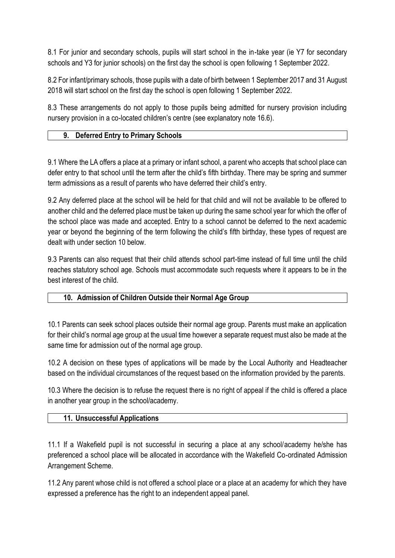8.1 For junior and secondary schools, pupils will start school in the in-take year (ie Y7 for secondary schools and Y3 for junior schools) on the first day the school is open following 1 September 2022.

8.2 For infant/primary schools, those pupils with a date of birth between 1 September 2017 and 31 August 2018 will start school on the first day the school is open following 1 September 2022.

8.3 These arrangements do not apply to those pupils being admitted for nursery provision including nursery provision in a co-located children's centre (see explanatory note 16.6).

## **9. Deferred Entry to Primary Schools**

9.1 Where the LA offers a place at a primary or infant school, a parent who accepts that school place can defer entry to that school until the term after the child's fifth birthday. There may be spring and summer term admissions as a result of parents who have deferred their child's entry.

9.2 Any deferred place at the school will be held for that child and will not be available to be offered to another child and the deferred place must be taken up during the same school year for which the offer of the school place was made and accepted. Entry to a school cannot be deferred to the next academic year or beyond the beginning of the term following the child's fifth birthday, these types of request are dealt with under section 10 below.

9.3 Parents can also request that their child attends school part-time instead of full time until the child reaches statutory school age. Schools must accommodate such requests where it appears to be in the best interest of the child.

## **10. Admission of Children Outside their Normal Age Group**

10.1 Parents can seek school places outside their normal age group. Parents must make an application for their child's normal age group at the usual time however a separate request must also be made at the same time for admission out of the normal age group.

10.2 A decision on these types of applications will be made by the Local Authority and Headteacher based on the individual circumstances of the request based on the information provided by the parents.

10.3 Where the decision is to refuse the request there is no right of appeal if the child is offered a place in another year group in the school/academy.

#### **11. Unsuccessful Applications**

11.1 If a Wakefield pupil is not successful in securing a place at any school/academy he/she has preferenced a school place will be allocated in accordance with the Wakefield Co-ordinated Admission Arrangement Scheme.

11.2 Any parent whose child is not offered a school place or a place at an academy for which they have expressed a preference has the right to an independent appeal panel.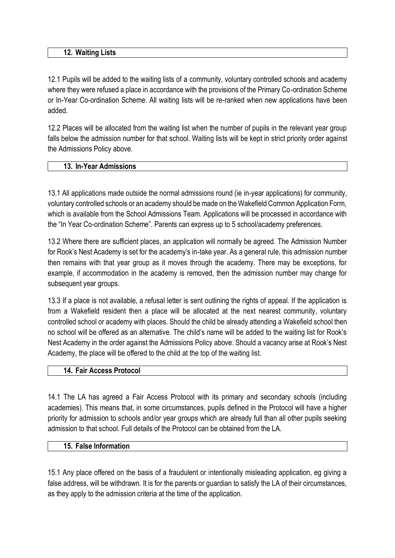#### **12. Waiting Lists**

12.1 Pupils will be added to the waiting lists of a community, voluntary controlled schools and academy where they were refused a place in accordance with the provisions of the Primary Co-ordination Scheme or In-Year Co-ordination Scheme. All waiting lists will be re-ranked when new applications have been added.

12.2 Places will be allocated from the waiting list when the number of pupils in the relevant year group falls below the admission number for that school. Waiting lists will be kept in strict priority order against the Admissions Policy above.

#### **13. In-Year Admissions**

13.1 All applications made outside the normal admissions round (ie in-year applications) for community, voluntary controlled schools or an academy should be made on the Wakefield Common Application Form, which is available from the School Admissions Team. Applications will be processed in accordance with the "In Year Co-ordination Scheme". Parents can express up to 5 school/academy preferences.

13.2 Where there are sufficient places, an application will normally be agreed. The Admission Number for Rook's Nest Academy is set for the academy's in-take year. As a general rule, this admission number then remains with that year group as it moves through the academy. There may be exceptions, for example, if accommodation in the academy is removed, then the admission number may change for subsequent year groups.

13.3 If a place is not available, a refusal letter is sent outlining the rights of appeal. If the application is from a Wakefield resident then a place will be allocated at the next nearest community, voluntary controlled school or academy with places. Should the child be already attending a Wakefield school then no school will be offered as an alternative. The child's name will be added to the waiting list for Rook's Nest Academy in the order against the Admissions Policy above. Should a vacancy arise at Rook's Nest Academy, the place will be offered to the child at the top of the waiting list.

#### **14. Fair Access Protocol**

14.1 The LA has agreed a Fair Access Protocol with its primary and secondary schools (including academies). This means that, in some circumstances, pupils defined in the Protocol will have a higher priority for admission to schools and/or year groups which are already full than all other pupils seeking admission to that school. Full details of the Protocol can be obtained from the LA.

#### **15. False Information**

15.1 Any place offered on the basis of a fraudulent or intentionally misleading application, eg giving a false address, will be withdrawn. It is for the parents or guardian to satisfy the LA of their circumstances, as they apply to the admission criteria at the time of the application.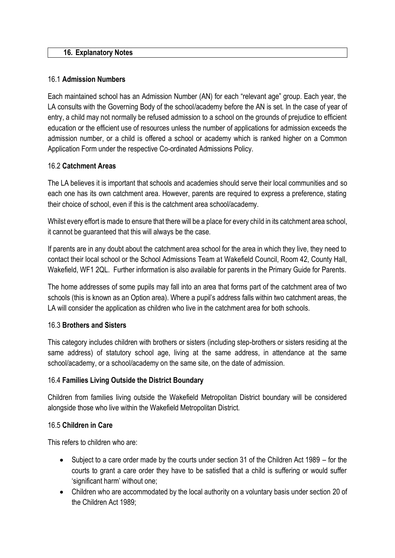#### **16. Explanatory Notes**

#### 16.1 **Admission Numbers**

Each maintained school has an Admission Number (AN) for each "relevant age" group. Each year, the LA consults with the Governing Body of the school/academy before the AN is set. In the case of year of entry, a child may not normally be refused admission to a school on the grounds of prejudice to efficient education or the efficient use of resources unless the number of applications for admission exceeds the admission number, or a child is offered a school or academy which is ranked higher on a Common Application Form under the respective Co-ordinated Admissions Policy.

## 16.2 **Catchment Areas**

The LA believes it is important that schools and academies should serve their local communities and so each one has its own catchment area. However, parents are required to express a preference, stating their choice of school, even if this is the catchment area school/academy.

Whilst every effort is made to ensure that there will be a place for every child in its catchment area school, it cannot be guaranteed that this will always be the case.

If parents are in any doubt about the catchment area school for the area in which they live, they need to contact their local school or the School Admissions Team at Wakefield Council, Room 42, County Hall, Wakefield, WF1 2QL. Further information is also available for parents in the Primary Guide for Parents.

The home addresses of some pupils may fall into an area that forms part of the catchment area of two schools (this is known as an Option area). Where a pupil's address falls within two catchment areas, the LA will consider the application as children who live in the catchment area for both schools.

## 16.3 **Brothers and Sisters**

This category includes children with brothers or sisters (including step-brothers or sisters residing at the same address) of statutory school age, living at the same address, in attendance at the same school/academy, or a school/academy on the same site, on the date of admission.

## 16.4 **Families Living Outside the District Boundary**

Children from families living outside the Wakefield Metropolitan District boundary will be considered alongside those who live within the Wakefield Metropolitan District.

#### 16.5 **Children in Care**

This refers to children who are:

- Subject to a care order made by the courts under section 31 of the Children Act 1989 for the courts to grant a care order they have to be satisfied that a child is suffering or would suffer 'significant harm' without one;
- Children who are accommodated by the local authority on a voluntary basis under section 20 of the Children Act 1989;